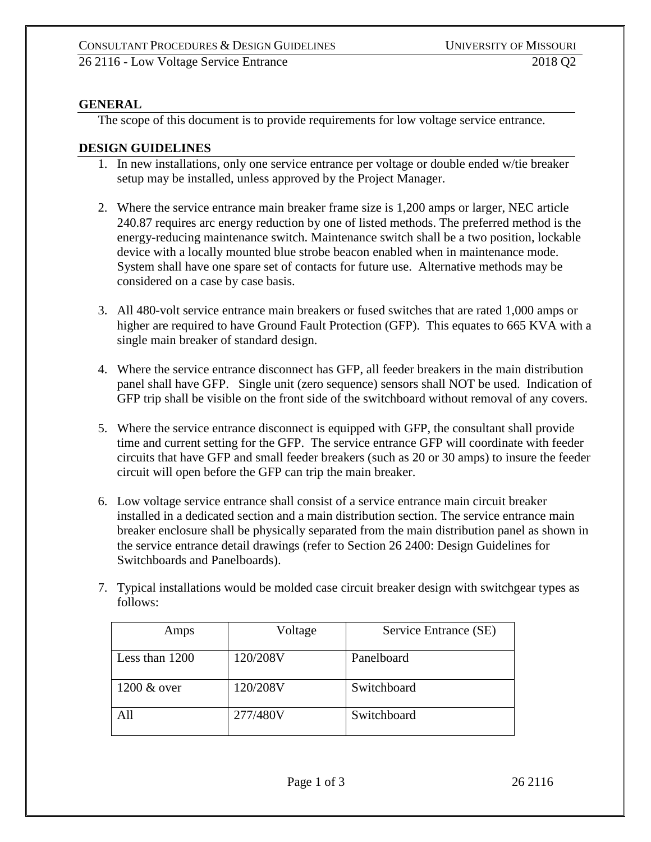## **GENERAL**

The scope of this document is to provide requirements for low voltage service entrance.

## **DESIGN GUIDELINES**

- 1. In new installations, only one service entrance per voltage or double ended w/tie breaker setup may be installed, unless approved by the Project Manager.
- 2. Where the service entrance main breaker frame size is 1,200 amps or larger, NEC article 240.87 requires arc energy reduction by one of listed methods. The preferred method is the energy-reducing maintenance switch. Maintenance switch shall be a two position, lockable device with a locally mounted blue strobe beacon enabled when in maintenance mode. System shall have one spare set of contacts for future use. Alternative methods may be considered on a case by case basis.
- 3. All 480-volt service entrance main breakers or fused switches that are rated 1,000 amps or higher are required to have Ground Fault Protection (GFP). This equates to 665 KVA with a single main breaker of standard design.
- 4. Where the service entrance disconnect has GFP, all feeder breakers in the main distribution panel shall have GFP. Single unit (zero sequence) sensors shall NOT be used. Indication of GFP trip shall be visible on the front side of the switchboard without removal of any covers.
- 5. Where the service entrance disconnect is equipped with GFP, the consultant shall provide time and current setting for the GFP. The service entrance GFP will coordinate with feeder circuits that have GFP and small feeder breakers (such as 20 or 30 amps) to insure the feeder circuit will open before the GFP can trip the main breaker.
- 6. Low voltage service entrance shall consist of a service entrance main circuit breaker installed in a dedicated section and a main distribution section. The service entrance main breaker enclosure shall be physically separated from the main distribution panel as shown in the service entrance detail drawings (refer to Section 26 2400: Design Guidelines for Switchboards and Panelboards).
- 7. Typical installations would be molded case circuit breaker design with switchgear types as follows:

| Amps           | Voltage  | Service Entrance (SE) |
|----------------|----------|-----------------------|
| Less than 1200 | 120/208V | Panelboard            |
| 1200 & over    | 120/208V | Switchboard           |
| All            | 277/480V | Switchboard           |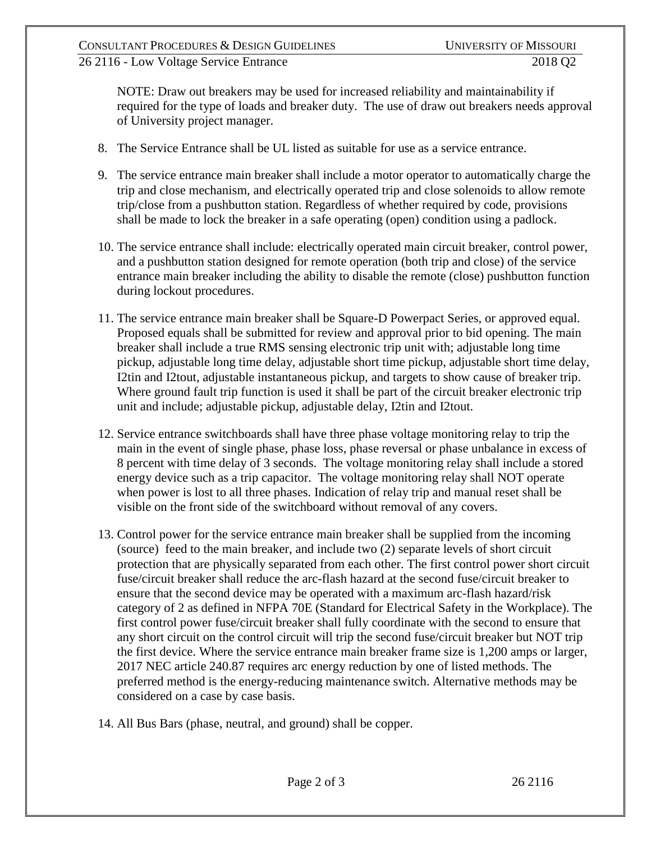NOTE: Draw out breakers may be used for increased reliability and maintainability if required for the type of loads and breaker duty. The use of draw out breakers needs approval of University project manager.

- 8. The Service Entrance shall be UL listed as suitable for use as a service entrance.
- 9. The service entrance main breaker shall include a motor operator to automatically charge the trip and close mechanism, and electrically operated trip and close solenoids to allow remote trip/close from a pushbutton station. Regardless of whether required by code, provisions shall be made to lock the breaker in a safe operating (open) condition using a padlock.
- 10. The service entrance shall include: electrically operated main circuit breaker, control power, and a pushbutton station designed for remote operation (both trip and close) of the service entrance main breaker including the ability to disable the remote (close) pushbutton function during lockout procedures.
- 11. The service entrance main breaker shall be Square-D Powerpact Series, or approved equal. Proposed equals shall be submitted for review and approval prior to bid opening. The main breaker shall include a true RMS sensing electronic trip unit with; adjustable long time pickup, adjustable long time delay, adjustable short time pickup, adjustable short time delay, I2tin and I2tout, adjustable instantaneous pickup, and targets to show cause of breaker trip. Where ground fault trip function is used it shall be part of the circuit breaker electronic trip unit and include; adjustable pickup, adjustable delay, I2tin and I2tout.
- 12. Service entrance switchboards shall have three phase voltage monitoring relay to trip the main in the event of single phase, phase loss, phase reversal or phase unbalance in excess of 8 percent with time delay of 3 seconds. The voltage monitoring relay shall include a stored energy device such as a trip capacitor. The voltage monitoring relay shall NOT operate when power is lost to all three phases. Indication of relay trip and manual reset shall be visible on the front side of the switchboard without removal of any covers.
- 13. Control power for the service entrance main breaker shall be supplied from the incoming (source) feed to the main breaker, and include two (2) separate levels of short circuit protection that are physically separated from each other. The first control power short circuit fuse/circuit breaker shall reduce the arc-flash hazard at the second fuse/circuit breaker to ensure that the second device may be operated with a maximum arc-flash hazard/risk category of 2 as defined in NFPA 70E (Standard for Electrical Safety in the Workplace). The first control power fuse/circuit breaker shall fully coordinate with the second to ensure that any short circuit on the control circuit will trip the second fuse/circuit breaker but NOT trip the first device. Where the service entrance main breaker frame size is 1,200 amps or larger, 2017 NEC article 240.87 requires arc energy reduction by one of listed methods. The preferred method is the energy-reducing maintenance switch. Alternative methods may be considered on a case by case basis.
- 14. All Bus Bars (phase, neutral, and ground) shall be copper.